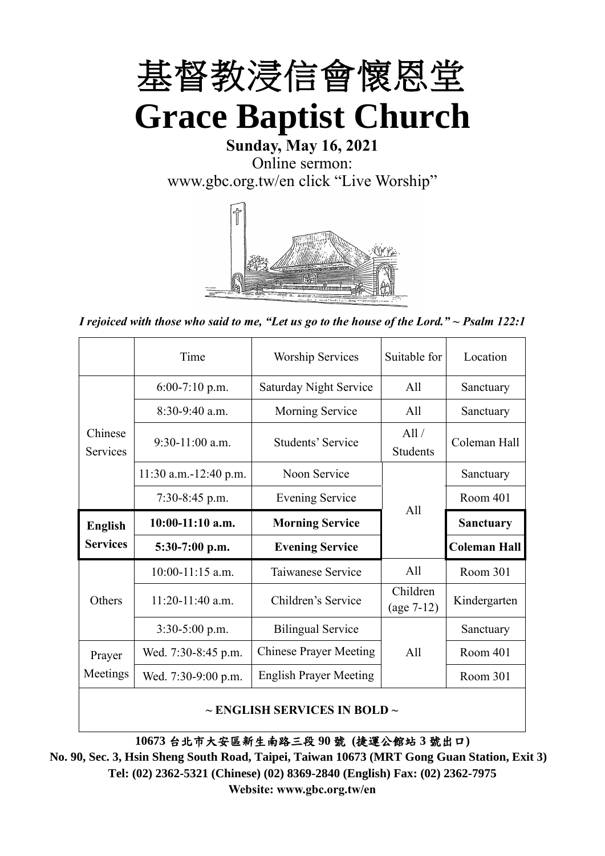

# **Sunday, May 16, 2021** Online sermon: [www.gbc.org.tw/en](http://www.gbc.org.tw/en) click "Live Worship"



*I rejoiced with those who said to me, "Let us go to the house of the Lord." ~ Psalm 122:1*

|                            | Time                  | <b>Worship Services</b>       | Suitable for             | Location            |
|----------------------------|-----------------------|-------------------------------|--------------------------|---------------------|
|                            | $6:00-7:10$ p.m.      | <b>Saturday Night Service</b> | All                      | Sanctuary           |
|                            | $8:30-9:40$ a.m.      | <b>Morning Service</b><br>All |                          | Sanctuary           |
| Chinese<br><b>Services</b> | $9:30-11:00$ a.m.     | Students' Service             | All /<br><b>Students</b> | Coleman Hall        |
|                            | 11:30 a.m.-12:40 p.m. | Noon Service                  |                          | Sanctuary           |
|                            | $7:30-8:45$ p.m.      | <b>Evening Service</b>        | All                      | Room 401            |
|                            |                       |                               |                          |                     |
| <b>English</b>             | $10:00-11:10$ a.m.    | <b>Morning Service</b>        |                          | <b>Sanctuary</b>    |
| <b>Services</b>            | $5:30-7:00$ p.m.      | <b>Evening Service</b>        |                          | <b>Coleman Hall</b> |
|                            | $10:00-11:15$ a.m.    | Taiwanese Service             | A11                      | Room 301            |
| Others                     | $11:20-11:40$ a.m.    | Children's Service            | Children<br>$(age 7-12)$ | Kindergarten        |
|                            | $3:30-5:00$ p.m.      | <b>Bilingual Service</b>      |                          | Sanctuary           |
| Prayer                     | Wed. 7:30-8:45 p.m.   | <b>Chinese Prayer Meeting</b> | A11                      | Room 401            |
| Meetings                   | Wed. 7:30-9:00 p.m.   | <b>English Prayer Meeting</b> |                          | Room 301            |

### **~ ENGLISH SERVICES IN BOLD ~**

**10673** 台北市大安區新生南路三段 **90** 號 **(**捷運公館站 **3** 號出口**)**

**No. 90, Sec. 3, Hsin Sheng South Road, Taipei, Taiwan 10673 (MRT Gong Guan Station, Exit 3) Tel: (02) 2362-5321 (Chinese) (02) 8369-2840 (English) Fax: (02) 2362-7975 Website: www.gbc.org.tw/en**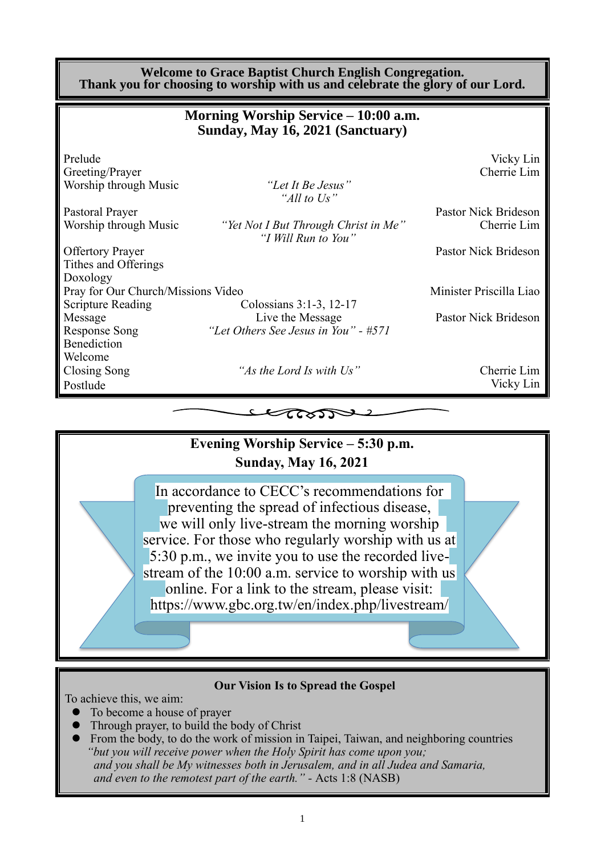| <b>Welcome to Grace Baptist Church English Congregation.</b><br>Thank you for choosing to worship with us and celebrate the glory of our Lord. |                                                                          |                                     |  |
|------------------------------------------------------------------------------------------------------------------------------------------------|--------------------------------------------------------------------------|-------------------------------------|--|
|                                                                                                                                                | Morning Worship Service – 10:00 a.m.<br>Sunday, May 16, 2021 (Sanctuary) |                                     |  |
| Prelude<br>Greeting/Prayer<br>Worship through Music                                                                                            | "Let It Be Jesus"<br>"All to Us"                                         | Vicky Lin<br>Cherrie Lim            |  |
| Pastoral Prayer<br>Worship through Music                                                                                                       | "Yet Not I But Through Christ in Me"<br>"I Will Run to You"              | Pastor Nick Brideson<br>Cherrie Lim |  |
| <b>Offertory Prayer</b><br>Tithes and Offerings<br>Doxology                                                                                    |                                                                          | Pastor Nick Brideson                |  |
| Pray for Our Church/Missions Video<br><b>Scripture Reading</b>                                                                                 | Colossians 3:1-3, 12-17                                                  | Minister Priscilla Liao             |  |
| Message<br><b>Response Song</b><br>Benediction                                                                                                 | Live the Message<br>"Let Others See Jesus in You" - #571                 | Pastor Nick Brideson                |  |
| Welcome<br>Closing Song<br>Postlude                                                                                                            | "As the Lord Is with Us"                                                 | Cherrie Lim<br>Vicky Lin            |  |
|                                                                                                                                                | しなりて                                                                     |                                     |  |



### **Our Vision Is to Spread the Gospel**

To achieve this, we aim:

- ⚫ To become a house of prayer
- ⚫ Through prayer, to build the body of Christ
- ⚫ From the body, to do the work of mission in Taipei, Taiwan, and neighboring countries *"but you will receive power when the Holy Spirit has come upon you; and you shall be My witnesses both in Jerusalem, and in all Judea and Samaria, and even to the remotest part of the earth." -* Acts 1:8 (NASB)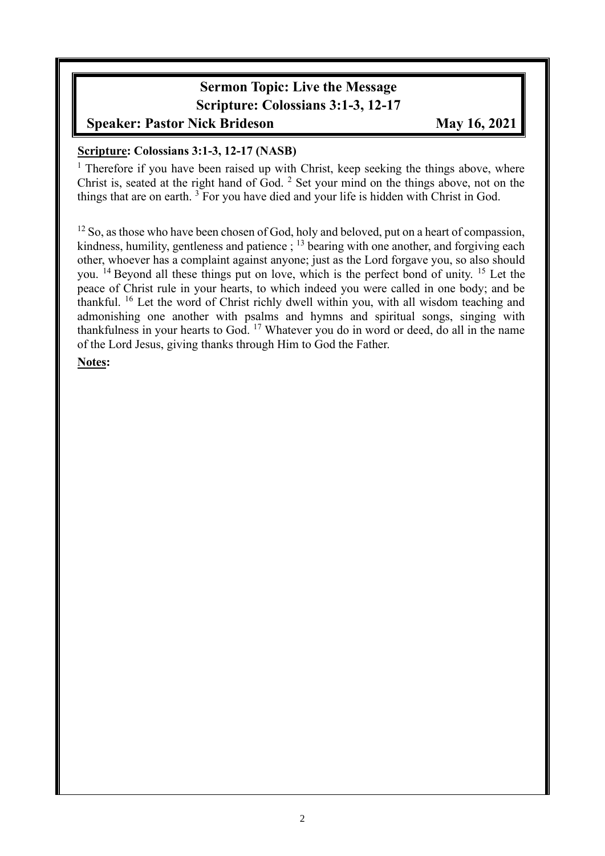### **Sermon Topic: Live the Message Scripture: Colossians 3:1-3, 12-17**

### **Speaker: Pastor Nick Brideson May 16, 2021**

### **Scripture: Colossians 3:1-3, 12-17 (NASB)**

<sup>1</sup> Therefore if you have been raised up with Christ, keep seeking the things above, where Christ is, seated at the right hand of God. <sup>2</sup> Set your mind on the things above, not on the things that are on earth.  $3 \times 10^{-3}$  For you have died and your life is hidden with Christ in God.

 $12$  So, as those who have been chosen of God, holy and beloved, put on a heart of compassion, kindness, humility, gentleness and patience  $\frac{1}{2}$ ;  $\frac{13}{2}$  bearing with one another, and forgiving each other, whoever has a complaint against anyone; just as the Lord forgave you, so also should you. <sup>14</sup> Beyond all these things put on love, which is the perfect bond of unity. <sup>15</sup> Let the peace of Christ rule in your hearts, to which indeed you were called in one body; and be thankful. <sup>16</sup> Let the word of Christ richly dwell within you, with all wisdom teaching and admonishing one another with psalms and hymns and spiritual songs, singing with thankfulness in your hearts to God. <sup>17</sup> Whatever you do in word or deed, do all in the name of the Lord Jesus, giving thanks through Him to God the Father.

### **Notes:**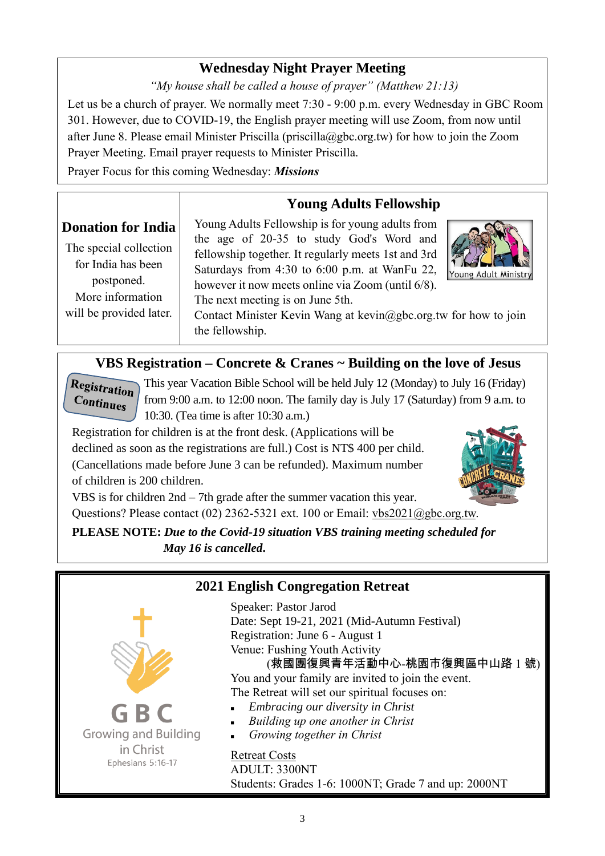## **Wednesday Night Prayer Meeting**

*"My house shall be called a house of prayer" (Matthew 21:13)*

Let us be a church of prayer. We normally meet 7:30 - 9:00 p.m. every Wednesday in GBC Room 301. However, due to COVID-19, the English prayer meeting will use Zoom, from now until after June 8. Please email Minister Priscilla (priscilla@gbc.org.tw) for how to join the Zoom Prayer Meeting. Email prayer requests to Minister Priscilla.

Prayer Focus for this coming Wednesday: *Missions*

# **Young Adults Fellowship**

# **Donation for India**

The special collection for India has been postponed. More information will be provided later.

Young Adults Fellowship is for young adults from the age of 20-35 to study God's Word and fellowship together. It regularly meets 1st and 3rd Saturdays from 4:30 to 6:00 p.m. at WanFu 22, however it now meets online via Zoom (until 6/8). The next meeting is on June 5th.



Contact Minister Kevin Wang at [kevin@gbc.org.tw](mailto:kevin@gbc.org.tw) for how to join the fellowship.

### **VBS Registration – Concrete & Cranes ~ Building on the love of Jesus**

Registration  $\overline{\text{Continues}}$ 

This year Vacation Bible School will be held July 12 (Monday) to July 16 (Friday) from 9:00 a.m. to 12:00 noon. The family day is July 17 (Saturday) from 9 a.m. to 10:30. (Tea time is after 10:30 a.m.)

Registration for children is at the front desk. (Applications will be declined as soon as the registrations are full.) Cost is NT\$ 400 per child. (Cancellations made before June 3 can be refunded). Maximum number of children is 200 children.



VBS is for children 2nd – 7th grade after the summer vacation this year. Questions? Please contact (02) 2362-5321 ext. 100 or Email: [vbs2021@gbc.org.tw.](mailto:vbs2021@gbc.org.tw)

**PLEASE NOTE:** *Due to the Covid-19 situation VBS training meeting scheduled for May 16 is cancelled***.**



### **2021 English Congregation Retreat**

Speaker: Pastor Jarod Date: Sept 19-21, 2021 (Mid-Autumn Festival) Registration: June 6 - August 1 Venue: Fushing Youth Activity

(救國團復興青年活動中心-桃園市復興區中山路 1 號) You and your family are invited to join the event. The Retreat will set our spiritual focuses on:

- <sup>◼</sup> *Embracing our diversity in Christ*
- <sup>◼</sup> *Building up one another in Christ*
- <sup>◼</sup> *Growing together in Christ*

Retreat Costs

ADULT: 3300NT Students: Grades 1-6: 1000NT; Grade 7 and up: 2000NT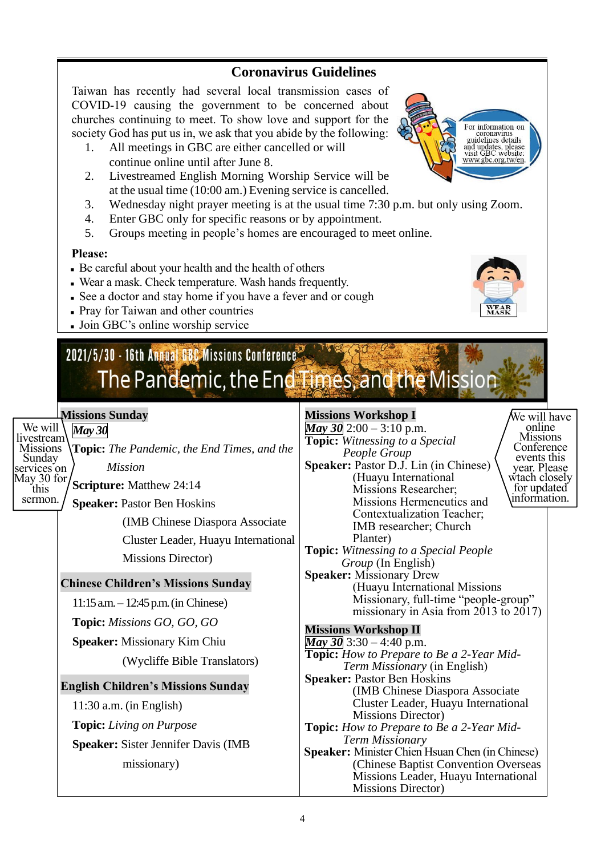### **Coronavirus Guidelines**

Taiwan has recently had several local transmission cases of COVID-19 causing the government to be concerned about churches continuing to meet. To show love and support for the society God has put us in, we ask that you abide by the following:

- 1. All meetings in GBC are either cancelled or will continue online until after June 8.
- 2. Livestreamed English Morning Worship Service will be at the usual time (10:00 am.) Evening service is cancelled.
- 3. Wednesday night prayer meeting is at the usual time 7:30 p.m. but only using Zoom.
- 4. Enter GBC only for specific reasons or by appointment.
- 5. Groups meeting in people's homes are encouraged to meet online.

#### **Please:**

- Be careful about your health and the health of others
- Wear a mask. Check temperature. Wash hands frequently.
- See a doctor and stay home if you have a fever and or cough
- Pray for Taiwan and other countries
- Join GBC's online worship service

# 2021/5/30 - 16th Annual GBC Missions Conference The Pandemic, the End Times, and the Mission

### **Missions Sunday**

### *May 30*

We will livestream **Missions** Sunday services on May  $30$  for this sermon.

**Topic:** *The Pandemic, the End Times, and the Mission*

**Scripture:** Matthew 24:14

**Speaker:** Pastor Ben Hoskins

(IMB Chinese Diaspora Associate Cluster Leader, Huayu International Missions Director)

### **Chinese Children's Missions Sunday**

11:15 a.m. – 12:45 p.m. (in Chinese)

**Topic:** *Missions GO, GO, GO*

**Speaker:** Missionary Kim Chiu

(Wycliffe Bible Translators)

### **English Children's Missions Sunday**

11:30 a.m. (in English)

**Topic:** *Living on Purpose*

**Speaker:** Sister Jennifer Davis (IMB missionary)

### **Missions Workshop I**

*May 30* 2:00 – 3:10 p.m. **Topic:** *Witnessing to a Special People Group* **Speaker:** Pastor D.J. Lin (in Chinese) (Huayu International Missions Researcher; Missions Hermeneutics and Contextualization Teacher; IMB researcher; Church Planter) **Topic:** *Witnessing to a Special People Group* (In English) **Speaker:** Missionary Drew (Huayu International Missions Missionary, full-time "people-group" missionary in Asia from 2013 to 2017) **Missions Workshop II** *May 30* 3:30 – 4:40 p.m. **Topic:** *How to Prepare to Be a 2-Year Mid-Term Missionary* (in English) **Speaker:** Pastor Ben Hoskins (IMB Chinese Diaspora Associate Cluster Leader, Huayu International Missions Director) We will have online Missions **Conference** events this year. Please wtach closely for updated information.

**Topic:** *How to Prepare to Be a 2-Year Mid-Term Missionary*

**Speaker:** Minister Chien Hsuan Chen (in Chinese) (Chinese Baptist Convention Overseas Missions Leader, Huayu International Missions Director)



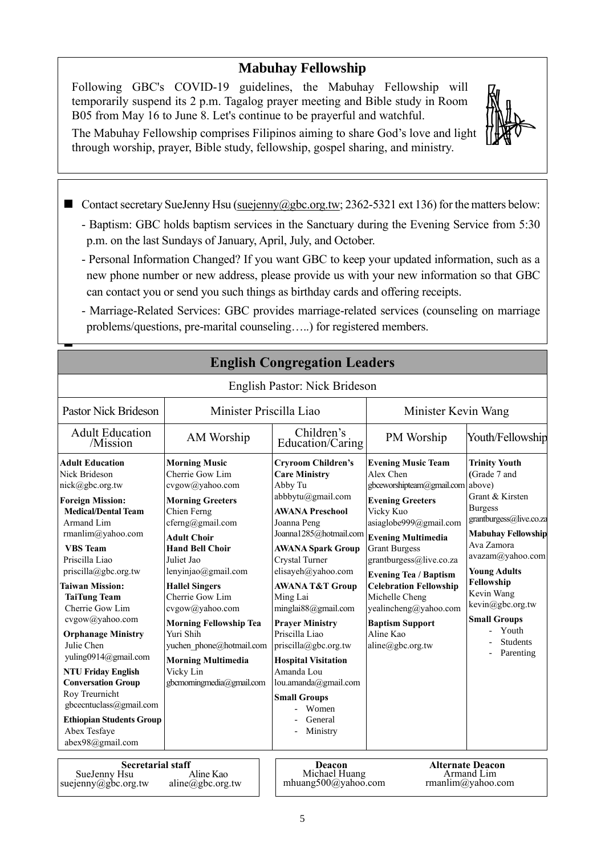### **Mabuhay Fellowship**

Following GBC's COVID-19 guidelines, the Mabuhay Fellowship will temporarily suspend its 2 p.m. Tagalog prayer meeting and Bible study in Room B05 from May 16 to June 8. Let's continue to be prayerful and watchful.

The Mabuhay Fellowship comprises Filipinos aiming to share God's love and light through worship, prayer, Bible study, fellowship, gospel sharing, and ministry.

■ Contact secretary SueJenny Hsu [\(suejenny@gbc.org.tw;](mailto:suejenny@gbc.org.tw) 2362-5321 ext 136) for the matters below:

- Baptism: GBC holds baptism services in the Sanctuary during the Evening Service from 5:30 p.m. on the last Sundays of January, April, July, and October.
- Personal Information Changed? If you want GBC to keep your updated information, such as a new phone number or new address, please provide us with your new information so that GBC can contact you or send you such things as birthday cards and offering receipts.
- Marriage-Related Services: GBC provides marriage-related services (counseling on marriage problems/questions, pre-marital counseling…..) for registered members.

**English Congregation Leaders**

| English Pastor: Nick Brideson                                                                                                                                                                                                                                                                                                                                                                                                                                                                                                           |                                                                                                                                                                                                                                                                                                                                                                                                                               |                                                                                                                                                                                                                                                                                                                                                                                                                                                                                          |                                                                                                                                                                                                                                                                                                                                                                                                     |                                                                                                                                                                                                                                                                                                            |
|-----------------------------------------------------------------------------------------------------------------------------------------------------------------------------------------------------------------------------------------------------------------------------------------------------------------------------------------------------------------------------------------------------------------------------------------------------------------------------------------------------------------------------------------|-------------------------------------------------------------------------------------------------------------------------------------------------------------------------------------------------------------------------------------------------------------------------------------------------------------------------------------------------------------------------------------------------------------------------------|------------------------------------------------------------------------------------------------------------------------------------------------------------------------------------------------------------------------------------------------------------------------------------------------------------------------------------------------------------------------------------------------------------------------------------------------------------------------------------------|-----------------------------------------------------------------------------------------------------------------------------------------------------------------------------------------------------------------------------------------------------------------------------------------------------------------------------------------------------------------------------------------------------|------------------------------------------------------------------------------------------------------------------------------------------------------------------------------------------------------------------------------------------------------------------------------------------------------------|
| <b>Pastor Nick Brideson</b><br>Minister Priscilla Liao                                                                                                                                                                                                                                                                                                                                                                                                                                                                                  |                                                                                                                                                                                                                                                                                                                                                                                                                               |                                                                                                                                                                                                                                                                                                                                                                                                                                                                                          | Minister Kevin Wang                                                                                                                                                                                                                                                                                                                                                                                 |                                                                                                                                                                                                                                                                                                            |
| <b>Adult Education</b><br>/Mission                                                                                                                                                                                                                                                                                                                                                                                                                                                                                                      | AM Worship                                                                                                                                                                                                                                                                                                                                                                                                                    | Children's<br>Education/Caring                                                                                                                                                                                                                                                                                                                                                                                                                                                           | PM Worship                                                                                                                                                                                                                                                                                                                                                                                          | Youth/Fellowship                                                                                                                                                                                                                                                                                           |
| <b>Adult Education</b><br>Nick Brideson<br>nick@gbc.org.tw<br><b>Foreign Mission:</b><br><b>Medical/Dental Team</b><br>Armand Lim<br>rmanlim@yahoo.com<br><b>VBS</b> Team<br>Priscilla Liao<br>priscilla@gbc.org.tw<br><b>Taiwan Mission:</b><br><b>TaiTung Team</b><br>Cherrie Gow Lim<br>cvgow@yahoo.com<br><b>Orphanage Ministry</b><br>Julie Chen<br>yuling0914@gmail.com<br><b>NTU Friday English</b><br><b>Conversation Group</b><br>Roy Treurnicht<br>gbcecntuclass@gmail.com<br><b>Ethiopian Students Group</b><br>Abex Tesfaye | <b>Morning Music</b><br>Cherrie Gow Lim<br>cvgow@yahoo.com<br><b>Morning Greeters</b><br>Chien Ferng<br>cferng@gmail.com<br><b>Adult Choir</b><br><b>Hand Bell Choir</b><br>Juliet Jao<br>lenyinjao@gmail.com<br><b>Hallel Singers</b><br>Cherrie Gow Lim<br>cvgow@yahoo.com<br><b>Morning Fellowship Tea</b><br>Yuri Shih<br>yuchen phone@hotmail.com<br><b>Morning Multimedia</b><br>Vicky Lin<br>gbcmorningmedia@gmail.com | <b>Cryroom Children's</b><br><b>Care Ministry</b><br>Abby Tu<br>abbbytu@gmail.com<br><b>AWANA Preschool</b><br>Joanna Peng<br>Joanna1285@hotmail.com<br><b>AWANA Spark Group</b><br>Crystal Turner<br>elisayeh@yahoo.com<br><b>AWANA T&amp;T Group</b><br>Ming Lai<br>minglai88@gmail.com<br><b>Prayer Ministry</b><br>Priscilla Liao<br>priscilla@gbc.org.tw<br><b>Hospital Visitation</b><br>Amanda Lou<br>lou.amanda@gmail.com<br><b>Small Groups</b><br>Women<br>General<br>Ministry | <b>Evening Music Team</b><br>Alex Chen<br>gbceworshipteam@gmail.com above)<br><b>Evening Greeters</b><br>Vicky Kuo<br>asiaglobe999@gmail.com<br><b>Evening Multimedia</b><br><b>Grant Burgess</b><br>grantburgess@live.co.za<br><b>Evening Tea / Baptism</b><br><b>Celebration Fellowship</b><br>Michelle Cheng<br>yealincheng@yahoo.com<br><b>Baptism Support</b><br>Aline Kao<br>aline@gbc.org.tw | <b>Trinity Youth</b><br>(Grade 7 and<br>Grant & Kirsten<br><b>Burgess</b><br>grantburgess@live.co.za<br><b>Mabuhay Fellowship</b><br>Ava Zamora<br>avazam@yahoo.com<br><b>Young Adults</b><br>Fellowship<br>Kevin Wang<br>kevin@gbc.org.tw<br><b>Small Groups</b><br>Youth<br><b>Students</b><br>Parenting |
| abex98@gmail.com<br>Constanial staff<br>Deggan<br>Altounate Dessen                                                                                                                                                                                                                                                                                                                                                                                                                                                                      |                                                                                                                                                                                                                                                                                                                                                                                                                               |                                                                                                                                                                                                                                                                                                                                                                                                                                                                                          |                                                                                                                                                                                                                                                                                                                                                                                                     |                                                                                                                                                                                                                                                                                                            |

**Secretarial staff** SueJenny Hsu suejenny@gbc.org.tw Aline Kao aline@gbc.org.tw

◼

**Deacon**<br>Michael Huang mhuang500@yahoo.com

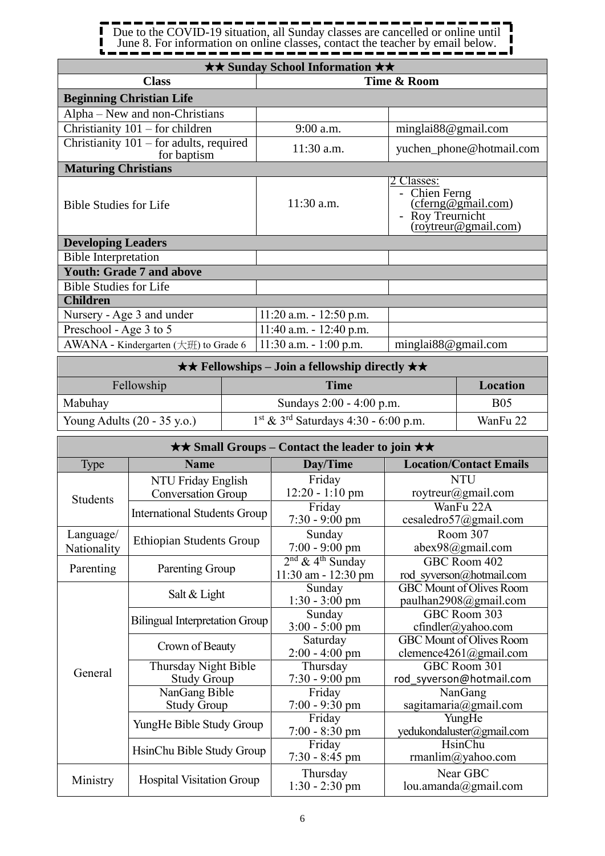ı П Due to the COVID-19 situation, all Sunday classes are cancelled or online until П June 8. For information on online classes, contact the teacher by email below.J

| <b>★★ Sunday School Information ★★</b>                                         |                            |                                                                                                                       |  |  |  |
|--------------------------------------------------------------------------------|----------------------------|-----------------------------------------------------------------------------------------------------------------------|--|--|--|
| <b>Class</b>                                                                   | Time & Room                |                                                                                                                       |  |  |  |
| <b>Beginning Christian Life</b>                                                |                            |                                                                                                                       |  |  |  |
| Alpha – New and non-Christians                                                 |                            |                                                                                                                       |  |  |  |
| Christianity $101$ – for children                                              | 9:00 a.m.                  | minglai88@gmail.com                                                                                                   |  |  |  |
| Christianity 101 – for adults, required<br>for baptism                         | 11:30 a.m.                 | yuchen_phone@hotmail.com                                                                                              |  |  |  |
| <b>Maturing Christians</b>                                                     |                            |                                                                                                                       |  |  |  |
| <b>Bible Studies for Life</b>                                                  | 11:30 a.m.                 | 2 Classes:<br>Chien Ferng<br>(cferng@gmail.com)<br>Roy Treurnicht<br>(roytreur@gmail.com)<br>$\overline{\phantom{m}}$ |  |  |  |
| <b>Developing Leaders</b>                                                      |                            |                                                                                                                       |  |  |  |
| <b>Bible Interpretation</b>                                                    |                            |                                                                                                                       |  |  |  |
| <b>Youth: Grade 7 and above</b>                                                |                            |                                                                                                                       |  |  |  |
| <b>Bible Studies for Life</b>                                                  |                            |                                                                                                                       |  |  |  |
| <b>Children</b>                                                                |                            |                                                                                                                       |  |  |  |
| Nursery - Age 3 and under                                                      | $11:20$ a.m. $-12:50$ p.m. |                                                                                                                       |  |  |  |
| Preschool - Age 3 to 5                                                         | $11:40$ a.m. $-12:40$ p.m. |                                                                                                                       |  |  |  |
| AWANA - Kindergarten (大班) to Grade 6                                           | $11:30$ a.m. $-1:00$ p.m.  | minglai88@gmail.com                                                                                                   |  |  |  |
| $\bigstar\bigstar$ Fellowshins – Loin a fellowshin directly $\bigstar\bigstar$ |                            |                                                                                                                       |  |  |  |

|                                       | $\star \star$ Fellowships – Join a fellowship directly $\star \star$ |            |  |  |  |
|---------------------------------------|----------------------------------------------------------------------|------------|--|--|--|
| Fellowship                            | <b>Time</b><br>Location                                              |            |  |  |  |
| Mabuhay                               | Sundays $2:00 - 4:00$ p.m.                                           | <b>B05</b> |  |  |  |
| Young Adults $(20 - 35 \text{ y.o.})$ | $1st$ & 3 <sup>rd</sup> Saturdays 4:30 - 6:00 p.m.                   | WanFu 22   |  |  |  |

| <b>★★ Small Groups – Contact the leader to join ★★</b> |                                                 |                                                           |                                                                  |
|--------------------------------------------------------|-------------------------------------------------|-----------------------------------------------------------|------------------------------------------------------------------|
| <b>Type</b>                                            | <b>Name</b>                                     | Day/Time                                                  | <b>Location/Contact Emails</b>                                   |
| Students                                               | NTU Friday English<br><b>Conversation Group</b> | Friday<br>12:20 - 1:10 pm                                 | <b>NTU</b><br>roytreur@gmail.com                                 |
|                                                        | <b>International Students Group</b>             | Friday<br>7:30 - 9:00 pm                                  | WanFu 22A<br>cesaledro57@gmail.com                               |
| Language/<br>Nationality                               | <b>Ethiopian Students Group</b>                 | Sunday<br>$7:00 - 9:00$ pm                                | Room 307<br>abex98@gmail.com                                     |
| Parenting                                              | Parenting Group                                 | $2nd$ & 4 <sup>th</sup> Sunday<br>$11:30$ am - $12:30$ pm | GBC Room 402<br>rod syverson@hotmail.com                         |
|                                                        | Salt & Light                                    | Sunday<br>$1:30 - 3:00$ pm                                | <b>GBC Mount of Olives Room</b><br>paulhan2908@gmail.com         |
|                                                        | <b>Bilingual Interpretation Group</b>           | Sunday<br>$3:00 - 5:00$ pm                                | GBC Room 303<br>cfindler@yahoo.com                               |
|                                                        | Crown of Beauty                                 | Saturday<br>$2:00 - 4:00$ pm                              | <b>GBC Mount of Olives Room</b><br>clemence $4261$ (a) gmail.com |
| General                                                | Thursday Night Bible<br><b>Study Group</b>      | Thursday<br>$7:30 - 9:00$ pm                              | GBC Room 301<br>rod syverson@hotmail.com                         |
|                                                        | NanGang Bible<br><b>Study Group</b>             | Friday<br>$7:00 - 9:30$ pm                                | NanGang<br>sagitamaria@gmail.com                                 |
|                                                        | YungHe Bible Study Group                        | Friday<br>7:00 - 8:30 pm                                  | YungHe<br>yedukondaluster@gmail.com                              |
|                                                        | HsinChu Bible Study Group                       | Friday<br>$7:30 - 8:45$ pm                                | HsinChu<br>rmanlim@yahoo.com                                     |
| Ministry                                               | <b>Hospital Visitation Group</b>                | Thursday<br>$1:30 - 2:30$ pm                              | Near GBC<br>lou.amanda@gmail.com                                 |